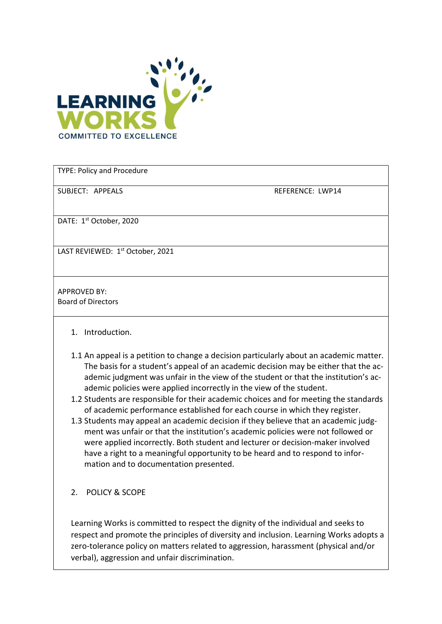

TYPE: Policy and Procedure

SUBJECT: APPEALS REFERENCE: LWP14

DATE: 1<sup>st</sup> October, 2020

LAST REVIEWED: 1<sup>st</sup> October, 2021

APPROVED BY: Board of Directors

- 1. Introduction.
- 1.1 An appeal is a petition to change a decision particularly about an academic matter. The basis for a student's appeal of an academic decision may be either that the academic judgment was unfair in the view of the student or that the institution's academic policies were applied incorrectly in the view of the student.
- 1.2 Students are responsible for their academic choices and for meeting the standards of academic performance established for each course in which they register.
- 1.3 Students may appeal an academic decision if they believe that an academic judgment was unfair or that the institution's academic policies were not followed or were applied incorrectly. Both student and lecturer or decision-maker involved have a right to a meaningful opportunity to be heard and to respond to information and to documentation presented.
- 2. POLICY & SCOPE

Learning Works is committed to respect the dignity of the individual and seeks to respect and promote the principles of diversity and inclusion. Learning Works adopts a zero-tolerance policy on matters related to aggression, harassment (physical and/or verbal), aggression and unfair discrimination.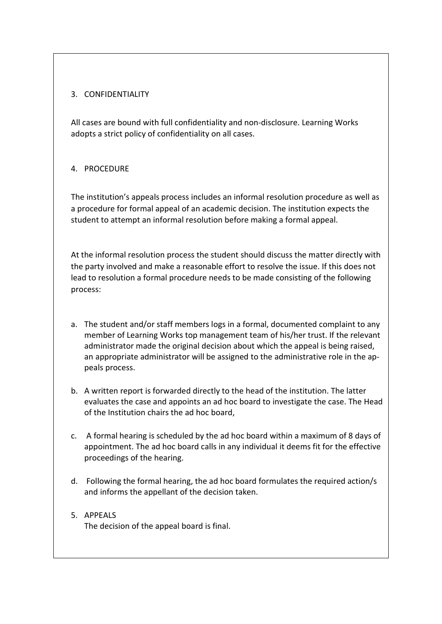## 3. CONFIDENTIALITY

All cases are bound with full confidentiality and non-disclosure. Learning Works adopts a strict policy of confidentiality on all cases.

## 4. PROCEDURE

The institution's appeals process includes an informal resolution procedure as well as a procedure for formal appeal of an academic decision. The institution expects the student to attempt an informal resolution before making a formal appeal.

At the informal resolution process the student should discuss the matter directly with the party involved and make a reasonable effort to resolve the issue. If this does not lead to resolution a formal procedure needs to be made consisting of the following process:

- a. The student and/or staff members logs in a formal, documented complaint to any member of Learning Works top management team of his/her trust. If the relevant administrator made the original decision about which the appeal is being raised, an appropriate administrator will be assigned to the administrative role in the appeals process.
- b. A written report is forwarded directly to the head of the institution. The latter evaluates the case and appoints an ad hoc board to investigate the case. The Head of the Institution chairs the ad hoc board,
- c. A formal hearing is scheduled by the ad hoc board within a maximum of 8 days of appointment. The ad hoc board calls in any individual it deems fit for the effective proceedings of the hearing.
- d. Following the formal hearing, the ad hoc board formulates the required action/s and informs the appellant of the decision taken.
- 5. APPEALS The decision of the appeal board is final.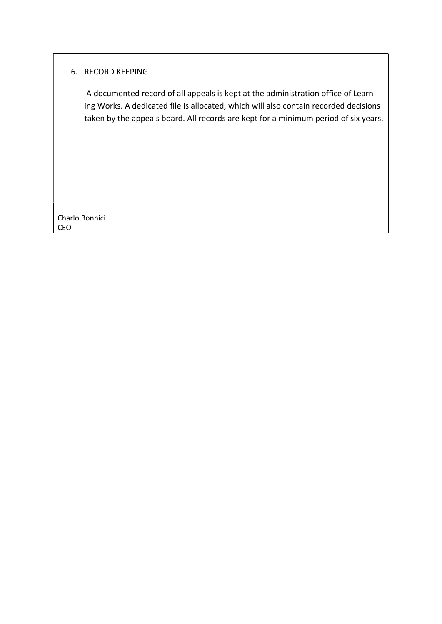## 6. RECORD KEEPING

 A documented record of all appeals is kept at the administration office of Learning Works. A dedicated file is allocated, which will also contain recorded decisions taken by the appeals board. All records are kept for a minimum period of six years.

Charlo Bonnici CEO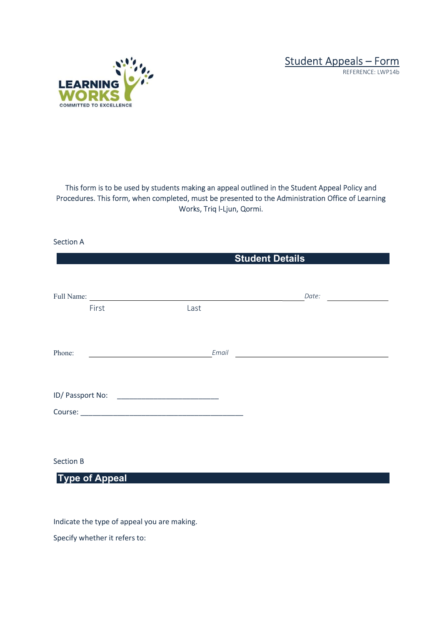Student Appeals – Form





This form is to be used by students making an appeal outlined in the Student Appeal Policy and Procedures. This form, when completed, must be presented to the Administration Office of Learning Works, Triq l-Ljun, Qormi.

Section A

|                  | <b>Student Details</b> |                                                                                                                               |  |
|------------------|------------------------|-------------------------------------------------------------------------------------------------------------------------------|--|
| First            | Last                   | Date:<br><u> 1989 - John Stone, mars and de la population de la population de la population de la population de la popula</u> |  |
| Phone:           | Email                  | <u> Alexandria de la contrada de la contrada de la contrada de la contrada de la contrada de la contrada de la c</u>          |  |
|                  |                        |                                                                                                                               |  |
| <b>Section B</b> |                        |                                                                                                                               |  |

Type of Appeal

Indicate the type of appeal you are making.

Specify whether it refers to: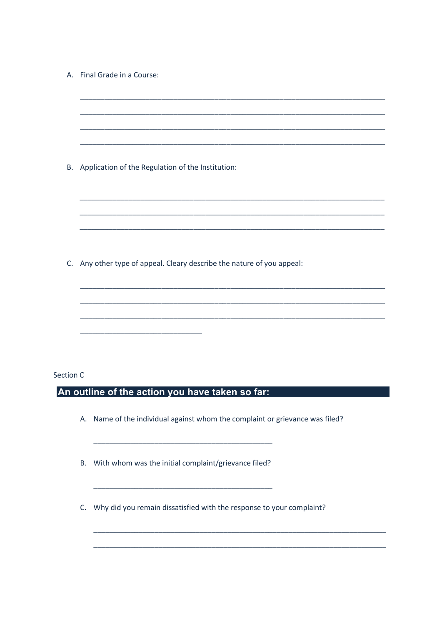|                  | A. Final Grade in a Course:                                                                                                                                                                            |  |
|------------------|--------------------------------------------------------------------------------------------------------------------------------------------------------------------------------------------------------|--|
|                  |                                                                                                                                                                                                        |  |
|                  |                                                                                                                                                                                                        |  |
|                  |                                                                                                                                                                                                        |  |
| В.               | Application of the Regulation of the Institution:                                                                                                                                                      |  |
|                  |                                                                                                                                                                                                        |  |
|                  |                                                                                                                                                                                                        |  |
|                  |                                                                                                                                                                                                        |  |
| $C_{\cdot}$      | Any other type of appeal. Cleary describe the nature of you appeal:                                                                                                                                    |  |
|                  |                                                                                                                                                                                                        |  |
|                  |                                                                                                                                                                                                        |  |
|                  |                                                                                                                                                                                                        |  |
|                  |                                                                                                                                                                                                        |  |
|                  |                                                                                                                                                                                                        |  |
| <b>Section C</b> |                                                                                                                                                                                                        |  |
|                  | An outline of the action you have taken so far:                                                                                                                                                        |  |
|                  | A. Name of the individual against whom the complaint or grievance was filed?<br><u> 1989 - Johann Stoff, deutscher Stoffen und der Stoffen und der Stoffen und der Stoffen und der Stoffen und der</u> |  |
|                  | B. With whom was the initial complaint/grievance filed?                                                                                                                                                |  |
|                  | C. Why did you remain dissatisfied with the response to your complaint?                                                                                                                                |  |

T,